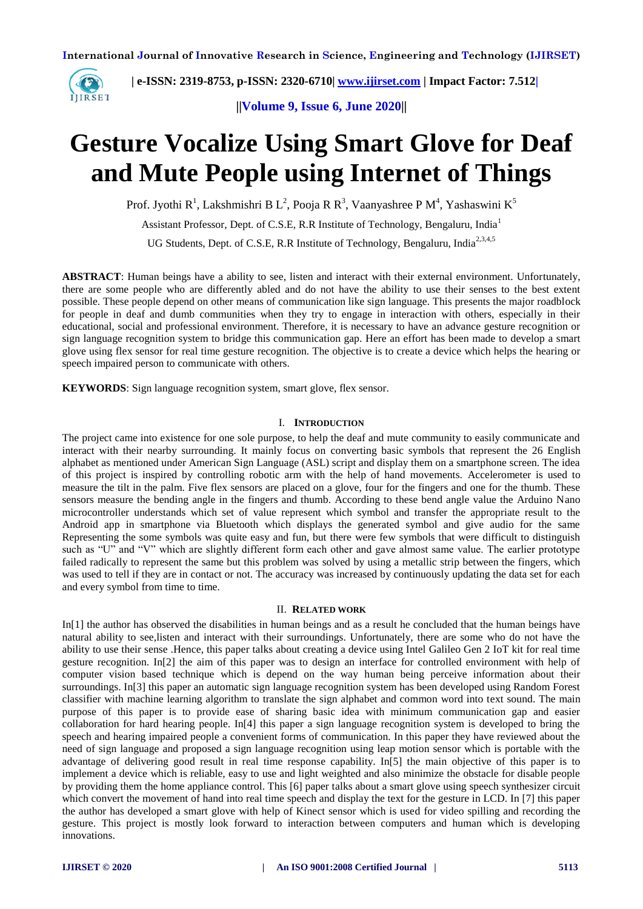

 **| e-ISSN: 2319-8753, p-ISSN: 2320-6710| [www.ijirset.com](http://www.ijirset.com/) | Impact Factor: 7.512|**

**||Volume 9, Issue 6, June 2020||** 

# **Gesture Vocalize Using Smart Glove for Deaf and Mute People using Internet of Things**

Prof. Jyothi R<sup>1</sup>, Lakshmishri B L<sup>2</sup>, Pooja R R<sup>3</sup>, Vaanyashree P M<sup>4</sup>, Yashaswini K<sup>5</sup>

Assistant Professor, Dept. of C.S.E, R.R Institute of Technology, Bengaluru, India<sup>1</sup>

UG Students, Dept. of C.S.E, R.R Institute of Technology, Bengaluru, India<sup>2,3,4,5</sup>

**ABSTRACT**: Human beings have a ability to see, listen and interact with their external environment. Unfortunately, there are some people who are differently abled and do not have the ability to use their senses to the best extent possible. These people depend on other means of communication like sign language. This presents the major roadblock for people in deaf and dumb communities when they try to engage in interaction with others, especially in their educational, social and professional environment. Therefore, it is necessary to have an advance gesture recognition or sign language recognition system to bridge this communication gap. Here an effort has been made to develop a smart glove using flex sensor for real time gesture recognition. The objective is to create a device which helps the hearing or speech impaired person to communicate with others.

**KEYWORDS**: Sign language recognition system, smart glove, flex sensor.

### I. **INTRODUCTION**

The project came into existence for one sole purpose, to help the deaf and mute community to easily communicate and interact with their nearby surrounding. It mainly focus on converting basic symbols that represent the 26 English alphabet as mentioned under American Sign Language (ASL) script and display them on a smartphone screen. The idea of this project is inspired by controlling robotic arm with the help of hand movements. Accelerometer is used to measure the tilt in the palm. Five flex sensors are placed on a glove, four for the fingers and one for the thumb. These sensors measure the bending angle in the fingers and thumb. According to these bend angle value the Arduino Nano microcontroller understands which set of value represent which symbol and transfer the appropriate result to the Android app in smartphone via Bluetooth which displays the generated symbol and give audio for the same Representing the some symbols was quite easy and fun, but there were few symbols that were difficult to distinguish such as "U" and "V" which are slightly different form each other and gave almost same value. The earlier prototype failed radically to represent the same but this problem was solved by using a metallic strip between the fingers, which was used to tell if they are in contact or not. The accuracy was increased by continuously updating the data set for each and every symbol from time to time.

#### II. **RELATED WORK**

In[1] the author has observed the disabilities in human beings and as a result he concluded that the human beings have natural ability to see,listen and interact with their surroundings. Unfortunately, there are some who do not have the ability to use their sense .Hence, this paper talks about creating a device using Intel Galileo Gen 2 IoT kit for real time gesture recognition. In[2] the aim of this paper was to design an interface for controlled environment with help of computer vision based technique which is depend on the way human being perceive information about their surroundings. In[3] this paper an automatic sign language recognition system has been developed using Random Forest classifier with machine learning algorithm to translate the sign alphabet and common word into text sound. The main purpose of this paper is to provide ease of sharing basic idea with minimum communication gap and easier collaboration for hard hearing people. In[4] this paper a sign language recognition system is developed to bring the speech and hearing impaired people a convenient forms of communication. In this paper they have reviewed about the need of sign language and proposed a sign language recognition using leap motion sensor which is portable with the advantage of delivering good result in real time response capability. In[5] the main objective of this paper is to implement a device which is reliable, easy to use and light weighted and also minimize the obstacle for disable people by providing them the home appliance control. This [6] paper talks about a smart glove using speech synthesizer circuit which convert the movement of hand into real time speech and display the text for the gesture in LCD. In [7] this paper the author has developed a smart glove with help of Kinect sensor which is used for video spilling and recording the gesture. This project is mostly look forward to interaction between computers and human which is developing innovations.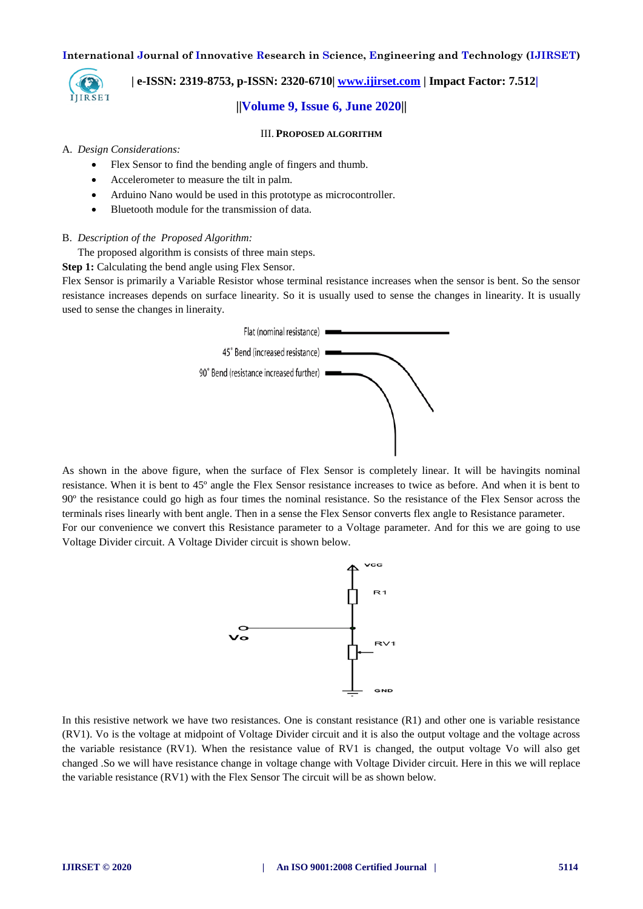

# **| e-ISSN: 2319-8753, p-ISSN: 2320-6710| [www.ijirset.com](http://www.ijirset.com/) | Impact Factor: 7.512|**

#### **||Volume 9, Issue 6, June 2020||**

#### III. **PROPOSED ALGORITHM**

#### A. *Design Considerations:*

- Flex Sensor to find the bending angle of fingers and thumb.
- Accelerometer to measure the tilt in palm.
- Arduino Nano would be used in this prototype as microcontroller.
- Bluetooth module for the transmission of data.

#### B. *Description of the Proposed Algorithm:*

The proposed algorithm is consists of three main steps.

**Step 1:** Calculating the bend angle using Flex Sensor.

Flex Sensor is primarily a Variable Resistor whose terminal resistance increases when the sensor is bent. So the sensor resistance increases depends on surface linearity. So it is usually used to sense the changes in linearity. It is usually used to sense the changes in lineraity.



As shown in the above figure, when the surface of Flex Sensor is completely linear. It will be havingits nominal resistance. When it is bent to 45º angle the Flex Sensor resistance increases to twice as before. And when it is bent to 90º the resistance could go high as four times the nominal resistance. So the resistance of the Flex Sensor across the terminals rises linearly with bent angle. Then in a sense the Flex Sensor converts flex angle to Resistance parameter. For our convenience we convert this Resistance parameter to a Voltage parameter. And for this we are going to use

Voltage Divider circuit. A Voltage Divider circuit is shown below.



In this resistive network we have two resistances. One is constant resistance (R1) and other one is variable resistance (RV1). Vo is the voltage at midpoint of Voltage Divider circuit and it is also the output voltage and the voltage across the variable resistance (RV1). When the resistance value of RV1 is changed, the output voltage Vo will also get changed .So we will have resistance change in voltage change with Voltage Divider circuit. Here in this we will replace the variable resistance (RV1) with the Flex Sensor The circuit will be as shown below.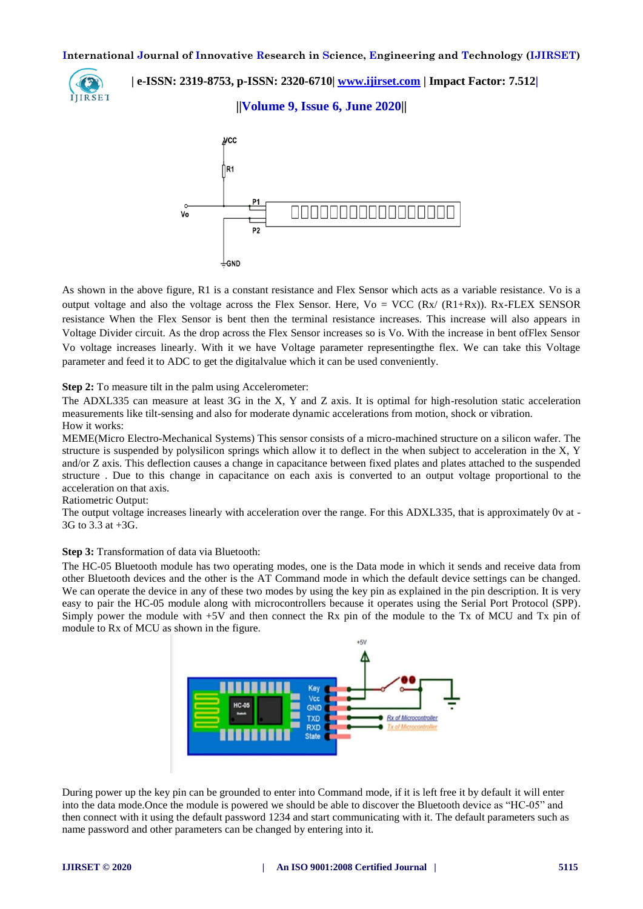

 **| e-ISSN: 2319-8753, p-ISSN: 2320-6710| [www.ijirset.com](http://www.ijirset.com/) | Impact Factor: 7.512|**

## **||Volume 9, Issue 6, June 2020||**



As shown in the above figure, R1 is a constant resistance and Flex Sensor which acts as a variable resistance. Vo is a output voltage and also the voltage across the Flex Sensor. Here,  $V_0 = VCC$  ( $Rx/(R1+Rx)$ ). Rx-FLEX SENSOR resistance When the Flex Sensor is bent then the terminal resistance increases. This increase will also appears in Voltage Divider circuit. As the drop across the Flex Sensor increases so is Vo. With the increase in bent ofFlex Sensor Vo voltage increases linearly. With it we have Voltage parameter representingthe flex. We can take this Voltage parameter and feed it to ADC to get the digitalvalue which it can be used conveniently.

**Step 2:** To measure tilt in the palm using Accelerometer:

The ADXL335 can measure at least 3G in the X, Y and Z axis. It is optimal for high-resolution static acceleration measurements like tilt-sensing and also for moderate dynamic accelerations from motion, shock or vibration. How it works:

MEME(Micro Electro-Mechanical Systems) This sensor consists of a micro-machined structure on a silicon wafer. The structure is suspended by polysilicon springs which allow it to deflect in the when subject to acceleration in the X, Y and/or Z axis. This deflection causes a change in capacitance between fixed plates and plates attached to the suspended structure . Due to this change in capacitance on each axis is converted to an output voltage proportional to the acceleration on that axis.

## Ratiometric Output:

The output voltage increases linearly with acceleration over the range. For this ADXL335, that is approximately 0v at - 3G to 3.3 at +3G.

#### **Step 3:** Transformation of data via Bluetooth:

The HC-05 Bluetooth module has two operating modes, one is the Data mode in which it sends and receive data from other Bluetooth devices and the other is the AT Command mode in which the default device settings can be changed. We can operate the device in any of these two modes by using the key pin as explained in the pin description. It is very easy to pair the HC-05 module along with microcontrollers because it operates using the Serial Port Protocol (SPP). Simply power the module with +5V and then connect the Rx pin of the module to the Tx of MCU and Tx pin of module to Rx of MCU as shown in the figure.



During power up the key pin can be grounded to enter into Command mode, if it is left free it by default it will enter into the data mode.Once the module is powered we should be able to discover the Bluetooth device as "HC-05" and then connect with it using the default password 1234 and start communicating with it. The default parameters such as name password and other parameters can be changed by entering into it.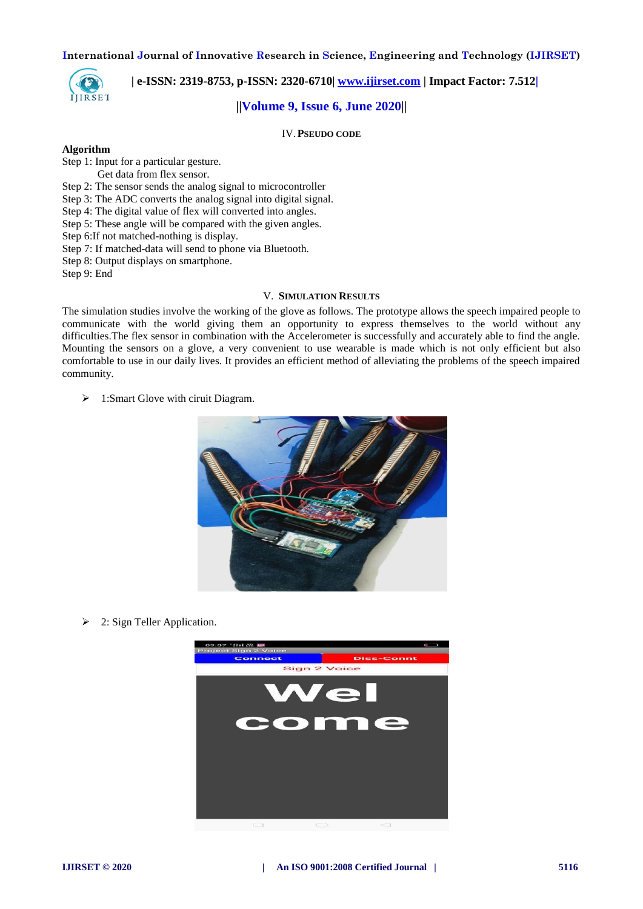

 **| e-ISSN: 2319-8753, p-ISSN: 2320-6710| [www.ijirset.com](http://www.ijirset.com/) | Impact Factor: 7.512|**

## **||Volume 9, Issue 6, June 2020||**

IV.**PSEUDO CODE**

#### **Algorithm**

Step 1: Input for a particular gesture.

- Get data from flex sensor.
- Step 2: The sensor sends the analog signal to microcontroller
- Step 3: The ADC converts the analog signal into digital signal.
- Step 4: The digital value of flex will converted into angles.
- Step 5: These angle will be compared with the given angles.
- Step 6:If not matched-nothing is display.
- Step 7: If matched-data will send to phone via Bluetooth.
- Step 8: Output displays on smartphone.

Step 9: End

#### V. **SIMULATION RESULTS**

The simulation studies involve the working of the glove as follows. The prototype allows the speech impaired people to communicate with the world giving them an opportunity to express themselves to the world without any difficulties.The flex sensor in combination with the Accelerometer is successfully and accurately able to find the angle. Mounting the sensors on a glove, a very convenient to use wearable is made which is not only efficient but also comfortable to use in our daily lives. It provides an efficient method of alleviating the problems of the speech impaired community.

 $\geq 1$ : Smart Glove with ciruit Diagram.



 $\geq$  2: Sign Teller Application.

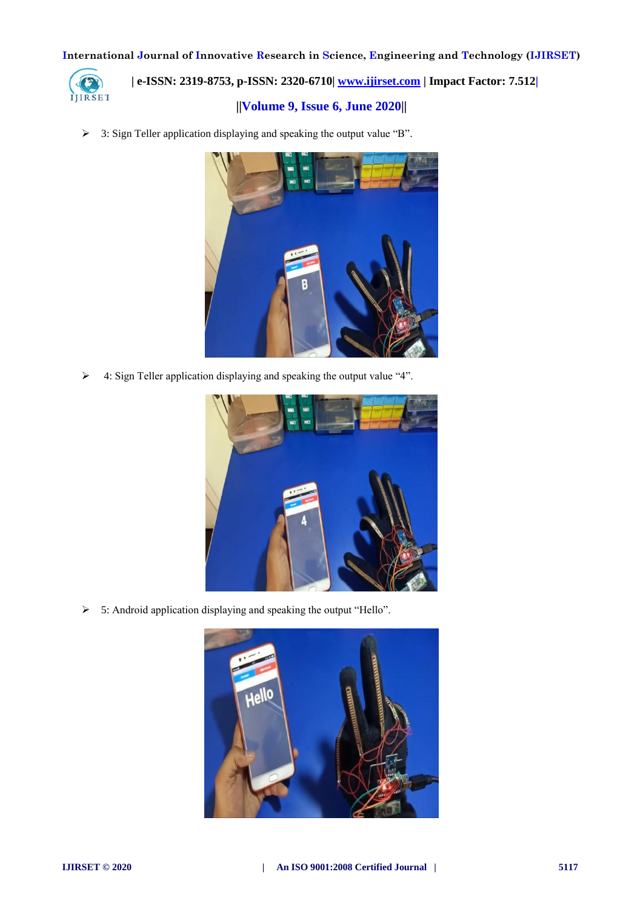

 **| e-ISSN: 2319-8753, p-ISSN: 2320-6710| [www.ijirset.com](http://www.ijirset.com/) | Impact Factor: 7.512|**

# **||Volume 9, Issue 6, June 2020||**

3: Sign Teller application displaying and speaking the output value "B".



4: Sign Teller application displaying and speaking the output value "4".



5: Android application displaying and speaking the output "Hello".

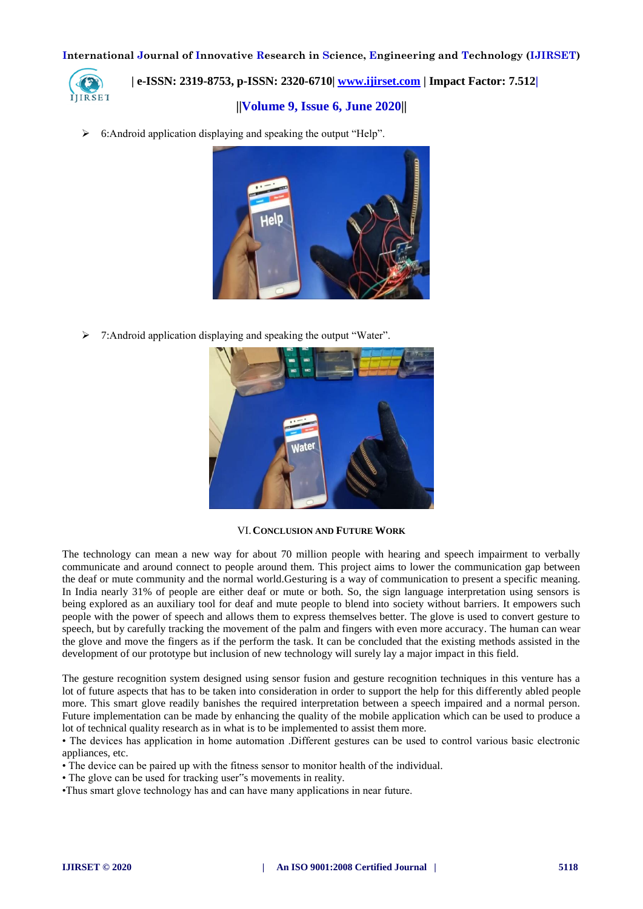

 **| e-ISSN: 2319-8753, p-ISSN: 2320-6710| [www.ijirset.com](http://www.ijirset.com/) | Impact Factor: 7.512|**

# **||Volume 9, Issue 6, June 2020||**

6:Android application displaying and speaking the output "Help".



 $\triangleright$  7: Android application displaying and speaking the output "Water".



## VI.**CONCLUSION AND FUTURE WORK**

The technology can mean a new way for about 70 million people with hearing and speech impairment to verbally communicate and around connect to people around them. This project aims to lower the communication gap between the deaf or mute community and the normal world.Gesturing is a way of communication to present a specific meaning. In India nearly 31% of people are either deaf or mute or both. So, the sign language interpretation using sensors is being explored as an auxiliary tool for deaf and mute people to blend into society without barriers. It empowers such people with the power of speech and allows them to express themselves better. The glove is used to convert gesture to speech, but by carefully tracking the movement of the palm and fingers with even more accuracy. The human can wear the glove and move the fingers as if the perform the task. It can be concluded that the existing methods assisted in the development of our prototype but inclusion of new technology will surely lay a major impact in this field.

The gesture recognition system designed using sensor fusion and gesture recognition techniques in this venture has a lot of future aspects that has to be taken into consideration in order to support the help for this differently abled people more. This smart glove readily banishes the required interpretation between a speech impaired and a normal person. Future implementation can be made by enhancing the quality of the mobile application which can be used to produce a lot of technical quality research as in what is to be implemented to assist them more.

• The devices has application in home automation .Different gestures can be used to control various basic electronic appliances, etc.

- The device can be paired up with the fitness sensor to monitor health of the individual.
- The glove can be used for tracking user"s movements in reality.
- •Thus smart glove technology has and can have many applications in near future.